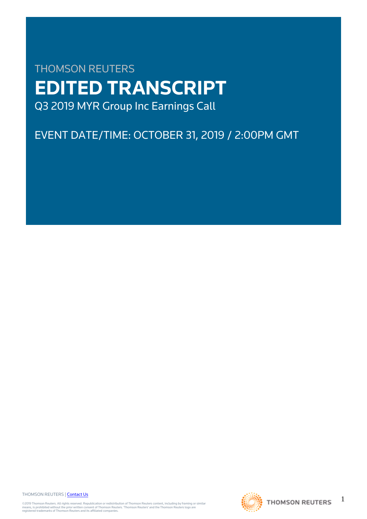# THOMSON REUTERS **EDITED TRANSCRIPT** Q3 2019 MYR Group Inc Earnings Call

# EVENT DATE/TIME: OCTOBER 31, 2019 / 2:00PM GMT

THOMSON REUTERS | [Contact Us](https://my.thomsonreuters.com/ContactUsNew)

©2019 Thomson Reuters. All rights reserved. Republication or redistribution of Thomson Reuters content, including by framing or similar<br>means, is prohibited without the prior written consent of Thomson Reuters. "Thomson Re



1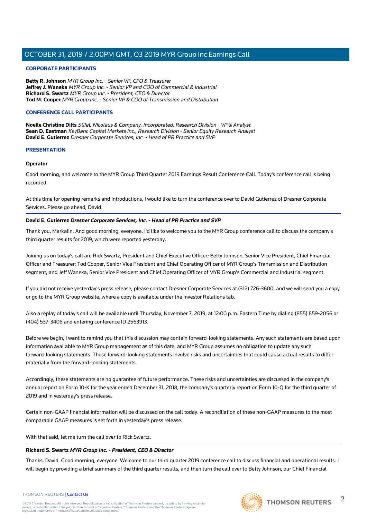#### **CORPORATE PARTICIPANTS**

**Betty R. Johnson** MYR Group Inc. - Senior VP, CFO & Treasurer **Jeffrey J. Waneka** MYR Group Inc. - Senior VP and COO of Commercial & Industrial **Richard S. Swartz** MYR Group Inc. - President, CEO & Director **Tod M. Cooper** MYR Group Inc. - Senior VP & COO of Transmission and Distribution

#### **CONFERENCE CALL PARTICIPANTS**

**Noelle Christine Dilts** Stifel, Nicolaus & Company, Incorporated, Research Division - VP & Analyst **Sean D. Eastman** KeyBanc Capital Markets Inc., Research Division - Senior Equity Research Analyst **David E. Gutierrez** Dresner Corporate Services, Inc. - Head of PR Practice and SVP

#### **PRESENTATION**

#### **Operator**

Good morning, and welcome to the MYR Group Third Quarter 2019 Earnings Result Conference Call. Today's conference call is being recorded.

At this time for opening remarks and introductions, I would like to turn the conference over to David Gutierrez of Dresner Corporate Services. Please go ahead, David.

### **David E. Gutierrez Dresner Corporate Services, Inc. - Head of PR Practice and SVP**

Thank you, Markalin. And good morning, everyone. I'd like to welcome you to the MYR Group conference call to discuss the company's third quarter results for 2019, which were reported yesterday.

Joining us on today's call are Rick Swartz, President and Chief Executive Officer; Betty Johnson, Senior Vice President, Chief Financial Officer and Treasurer; Tod Cooper, Senior Vice President and Chief Operating Officer of MYR Group's Transmission and Distribution segment; and Jeff Waneka, Senior Vice President and Chief Operating Officer of MYR Group's Commercial and Industrial segment.

If you did not receive yesterday's press release, please contact Dresner Corporate Services at (312) 726-3600, and we will send you a copy or go to the MYR Group website, where a copy is available under the Investor Relations tab.

Also a replay of today's call will be available until Thursday, November 7, 2019, at 12:00 p.m. Eastern Time by dialing (855) 859-2056 or (404) 537-3406 and entering conference ID 2563913.

Before we begin, I want to remind you that this discussion may contain forward-looking statements. Any such statements are based upon information available to MYR Group management as of this date, and MYR Group assumes no obligation to update any such forward-looking statements. These forward-looking statements involve risks and uncertainties that could cause actual results to differ materially from the forward-looking statements.

Accordingly, these statements are no guarantee of future performance. These risks and uncertainties are discussed in the company's annual report on Form 10-K for the year ended December 31, 2018, the company's quarterly report on Form 10-Q for the third quarter of 2019 and in yesterday's press release.

Certain non-GAAP financial information will be discussed on the call today. A reconciliation of these non-GAAP measures to the most comparable GAAP measures is set forth in yesterday's press release.

With that said, let me turn the call over to Rick Swartz.

#### **Richard S. Swartz MYR Group Inc. - President, CEO & Director**

Thanks, David. Good morning, everyone. Welcome to our third quarter 2019 conference call to discuss financial and operational results. I will begin by providing a brief summary of the third quarter results, and then turn the call over to Betty Johnson, our Chief Financial



©2019 Thomson Reuters. All rights reserved. Republication or redistribution of Thomson Reuters content, including by framing or similar<br>means, is prohibited without the prior written consent of Thomson Reuters. "Thomson Re

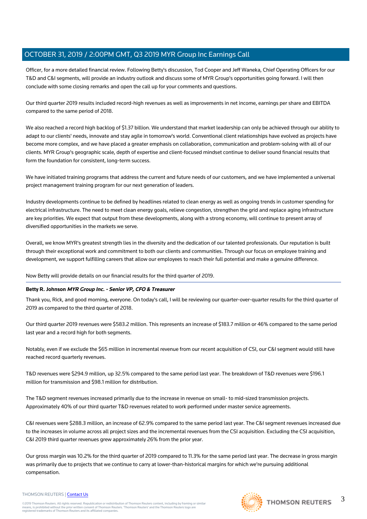Officer, for a more detailed financial review. Following Betty's discussion, Tod Cooper and Jeff Waneka, Chief Operating Officers for our T&D and C&I segments, will provide an industry outlook and discuss some of MYR Group's opportunities going forward. I will then conclude with some closing remarks and open the call up for your comments and questions.

Our third quarter 2019 results included record-high revenues as well as improvements in net income, earnings per share and EBITDA compared to the same period of 2018.

We also reached a record high backlog of \$1.37 billion. We understand that market leadership can only be achieved through our ability to adapt to our clients' needs, innovate and stay agile in tomorrow's world. Conventional client relationships have evolved as projects have become more complex, and we have placed a greater emphasis on collaboration, communication and problem-solving with all of our clients. MYR Group's geographic scale, depth of expertise and client-focused mindset continue to deliver sound financial results that form the foundation for consistent, long-term success.

We have initiated training programs that address the current and future needs of our customers, and we have implemented a universal project management training program for our next generation of leaders.

Industry developments continue to be defined by headlines related to clean energy as well as ongoing trends in customer spending for electrical infrastructure. The need to meet clean energy goals, relieve congestion, strengthen the grid and replace aging infrastructure are key priorities. We expect that output from these developments, along with a strong economy, will continue to present array of diversified opportunities in the markets we serve.

Overall, we know MYR's greatest strength lies in the diversity and the dedication of our talented professionals. Our reputation is built through their exceptional work and commitment to both our clients and communities. Through our focus on employee training and development, we support fulfilling careers that allow our employees to reach their full potential and make a genuine difference.

Now Betty will provide details on our financial results for the third quarter of 2019.

#### **Betty R. Johnson MYR Group Inc. - Senior VP, CFO & Treasurer**

Thank you, Rick, and good morning, everyone. On today's call, I will be reviewing our quarter-over-quarter results for the third quarter of 2019 as compared to the third quarter of 2018.

Our third quarter 2019 revenues were \$583.2 million. This represents an increase of \$183.7 million or 46% compared to the same period last year and a record high for both segments.

Notably, even if we exclude the \$65 million in incremental revenue from our recent acquisition of CSI, our C&I segment would still have reached record quarterly revenues.

T&D revenues were \$294.9 million, up 32.5% compared to the same period last year. The breakdown of T&D revenues were \$196.1 million for transmission and \$98.1 million for distribution.

The T&D segment revenues increased primarily due to the increase in revenue on small- to mid-sized transmission projects. Approximately 40% of our third quarter T&D revenues related to work performed under master service agreements.

C&I revenues were \$288.3 million, an increase of 62.9% compared to the same period last year. The C&I segment revenues increased due to the increases in volume across all project sizes and the incremental revenues from the CSI acquisition. Excluding the CSI acquisition, C&I 2019 third quarter revenues grew approximately 26% from the prior year.

Our gross margin was 10.2% for the third quarter of 2019 compared to 11.3% for the same period last year. The decrease in gross margin was primarily due to projects that we continue to carry at lower-than-historical margins for which we're pursuing additional compensation.

©2019 Thomson Reuters. All rights reserved. Republication or redistribution of Thomson Reuters content, including by framing or similar<br>means, is prohibited without the prior written consent of Thomson Reuters. "Thomson Re

THOMSON REUTERS | [Contact Us](https://my.thomsonreuters.com/ContactUsNew)

THOMSON REUTERS

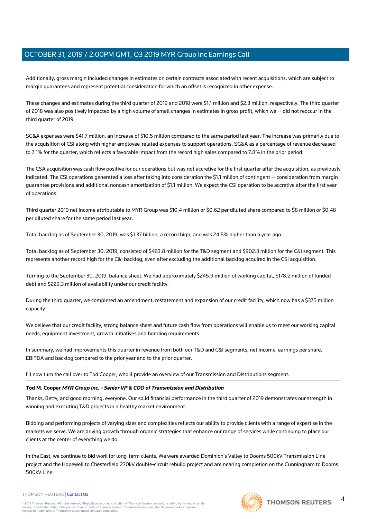Additionally, gross margin included changes in estimates on certain contracts associated with recent acquisitions, which are subject to margin guarantees and represent potential consideration for which an offset is recognized in other expense.

These changes and estimates during the third quarter of 2019 and 2018 were \$1.1 million and \$2.3 million, respectively. The third quarter of 2018 was also positively impacted by a high volume of small changes in estimates in gross profit, which we -- did not reoccur in the third quarter of 2019.

SG&A expenses were \$41.7 million, an increase of \$10.5 million compared to the same period last year. The increase was primarily due to the acquisition of CSI along with higher employee-related expenses to support operations. SG&A as a percentage of revenue decreased to 7.1% for the quarter, which reflects a favorable impact from the record high sales compared to 7.8% in the prior period.

The CSA acquisition was cash flow positive for our operations but was not accretive for the first quarter after the acquisition, as previously indicated. The CSI operations generated a loss after taking into consideration the \$1.1 million of contingent -- consideration from margin guarantee provisions and additional noncash amortization of \$1.1 million. We expect the CSI operation to be accretive after the first year of operations.

Third quarter 2019 net income attributable to MYR Group was \$10.4 million or \$0.62 per diluted share compared to \$8 million or \$0.48 per diluted share for the same period last year.

Total backlog as of September 30, 2019, was \$1.37 billion, a record high, and was 24.5% higher than a year ago.

Total backlog as of September 30, 2019, consisted of \$463.8 million for the T&D segment and \$902.3 million for the C&I segment. This represents another record high for the C&I backlog, even after excluding the additional backlog acquired in the CSI acquisition.

Turning to the September 30, 2019, balance sheet. We had approximately \$245.9 million of working capital, \$178.2 million of funded debt and \$229.3 million of availability under our credit facility.

During the third quarter, we completed an amendment, restatement and expansion of our credit facility, which now has a \$375 million capacity.

We believe that our credit facility, strong balance sheet and future cash flow from operations will enable us to meet our working capital needs, equipment investment, growth initiatives and bonding requirements.

In summary, we had improvements this quarter in revenue from both our T&D and C&I segments, net income, earnings per share, EBITDA and backlog compared to the prior year and to the prior quarter.

I'll now turn the call over to Tod Cooper, who'll provide an overview of our Transmission and Distributions segment.

### **Tod M. Cooper MYR Group Inc. - Senior VP & COO of Transmission and Distribution**

Thanks, Betty, and good morning, everyone. Our solid financial performance in the third quarter of 2019 demonstrates our strength in winning and executing T&D projects in a healthy market environment.

Bidding and performing projects of varying sizes and complexities reflects our ability to provide clients with a range of expertise in the markets we serve. We are driving growth through organic strategies that enhance our range of services while continuing to place our clients at the center of everything we do.

In the East, we continue to bid work for long-term clients. We were awarded Dominion's Valley to Dooms 500kV Transmission Line project and the Hopewell to Chesterfield 230kV double-circuit rebuild project and are nearing completion on the Cunningham to Dooms 500kV Line.



#### THOMSON REUTERS | [Contact Us](https://my.thomsonreuters.com/ContactUsNew)

4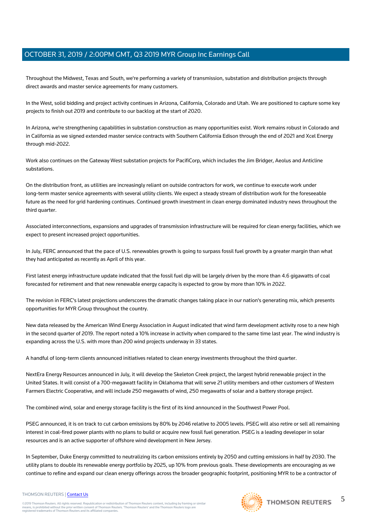Throughout the Midwest, Texas and South, we're performing a variety of transmission, substation and distribution projects through direct awards and master service agreements for many customers.

In the West, solid bidding and project activity continues in Arizona, California, Colorado and Utah. We are positioned to capture some key projects to finish out 2019 and contribute to our backlog at the start of 2020.

In Arizona, we're strengthening capabilities in substation construction as many opportunities exist. Work remains robust in Colorado and in California as we signed extended master service contracts with Southern California Edison through the end of 2021 and Xcel Energy through mid-2022.

Work also continues on the Gateway West substation projects for PacifiCorp, which includes the Jim Bridger, Aeolus and Anticline substations.

On the distribution front, as utilities are increasingly reliant on outside contractors for work, we continue to execute work under long-term master service agreements with several utility clients. We expect a steady stream of distribution work for the foreseeable future as the need for grid hardening continues. Continued growth investment in clean energy dominated industry news throughout the third quarter.

Associated interconnections, expansions and upgrades of transmission infrastructure will be required for clean energy facilities, which we expect to present increased project opportunities.

In July, FERC announced that the pace of U.S. renewables growth is going to surpass fossil fuel growth by a greater margin than what they had anticipated as recently as April of this year.

First latest energy infrastructure update indicated that the fossil fuel dip will be largely driven by the more than 4.6 gigawatts of coal forecasted for retirement and that new renewable energy capacity is expected to grow by more than 10% in 2022.

The revision in FERC's latest projections underscores the dramatic changes taking place in our nation's generating mix, which presents opportunities for MYR Group throughout the country.

New data released by the American Wind Energy Association in August indicated that wind farm development activity rose to a new high in the second quarter of 2019. The report noted a 10% increase in activity when compared to the same time last year. The wind industry is expanding across the U.S. with more than 200 wind projects underway in 33 states.

A handful of long-term clients announced initiatives related to clean energy investments throughout the third quarter.

NextEra Energy Resources announced in July, it will develop the Skeleton Creek project, the largest hybrid renewable project in the United States. It will consist of a 700-megawatt facility in Oklahoma that will serve 21 utility members and other customers of Western Farmers Electric Cooperative, and will include 250 megawatts of wind, 250 megawatts of solar and a battery storage project.

The combined wind, solar and energy storage facility is the first of its kind announced in the Southwest Power Pool.

PSEG announced, it is on track to cut carbon emissions by 80% by 2046 relative to 2005 levels. PSEG will also retire or sell all remaining interest in coal-fired power plants with no plans to build or acquire new fossil fuel generation. PSEG is a leading developer in solar resources and is an active supporter of offshore wind development in New Jersey.

In September, Duke Energy committed to neutralizing its carbon emissions entirely by 2050 and cutting emissions in half by 2030. The utility plans to double its renewable energy portfolio by 2025, up 10% from previous goals. These developments are encouraging as we continue to refine and expand our clean energy offerings across the broader geographic footprint, positioning MYR to be a contractor of

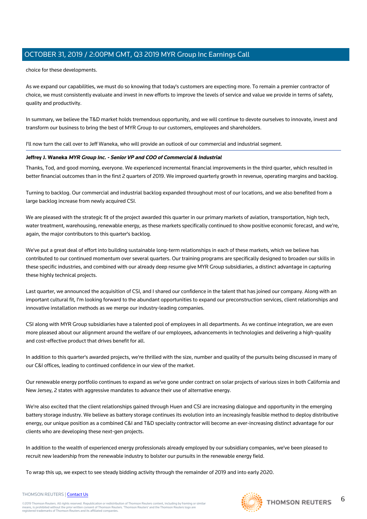choice for these developments.

As we expand our capabilities, we must do so knowing that today's customers are expecting more. To remain a premier contractor of choice, we must consistently evaluate and invest in new efforts to improve the levels of service and value we provide in terms of safety, quality and productivity.

In summary, we believe the T&D market holds tremendous opportunity, and we will continue to devote ourselves to innovate, invest and transform our business to bring the best of MYR Group to our customers, employees and shareholders.

I'll now turn the call over to Jeff Waneka, who will provide an outlook of our commercial and industrial segment.

#### **Jeffrey J. Waneka MYR Group Inc. - Senior VP and COO of Commercial & Industrial**

Thanks, Tod, and good morning, everyone. We experienced incremental financial improvements in the third quarter, which resulted in better financial outcomes than in the first 2 quarters of 2019. We improved quarterly growth in revenue, operating margins and backlog.

Turning to backlog. Our commercial and industrial backlog expanded throughout most of our locations, and we also benefited from a large backlog increase from newly acquired CSI.

We are pleased with the strategic fit of the project awarded this quarter in our primary markets of aviation, transportation, high tech, water treatment, warehousing, renewable energy, as these markets specifically continued to show positive economic forecast, and we're, again, the major contributors to this quarter's backlog.

We've put a great deal of effort into building sustainable long-term relationships in each of these markets, which we believe has contributed to our continued momentum over several quarters. Our training programs are specifically designed to broaden our skills in these specific industries, and combined with our already deep resume give MYR Group subsidiaries, a distinct advantage in capturing these highly technical projects.

Last quarter, we announced the acquisition of CSI, and I shared our confidence in the talent that has joined our company. Along with an important cultural fit, I'm looking forward to the abundant opportunities to expand our preconstruction services, client relationships and innovative installation methods as we merge our industry-leading companies.

CSI along with MYR Group subsidiaries have a talented pool of employees in all departments. As we continue integration, we are even more pleased about our alignment around the welfare of our employees, advancements in technologies and delivering a high-quality and cost-effective product that drives benefit for all.

In addition to this quarter's awarded projects, we're thrilled with the size, number and quality of the pursuits being discussed in many of our C&I offices, leading to continued confidence in our view of the market.

Our renewable energy portfolio continues to expand as we've gone under contract on solar projects of various sizes in both California and New Jersey, 2 states with aggressive mandates to advance their use of alternative energy.

We're also excited that the client relationships gained through Huen and CSI are increasing dialogue and opportunity in the emerging battery storage industry. We believe as battery storage continues its evolution into an increasingly feasible method to deploy distributive energy, our unique position as a combined C&I and T&D specialty contractor will become an ever-increasing distinct advantage for our clients who are developing these next-gen projects.

In addition to the wealth of experienced energy professionals already employed by our subsidiary companies, we've been pleased to recruit new leadership from the renewable industry to bolster our pursuits in the renewable energy field.

To wrap this up, we expect to see steady bidding activity through the remainder of 2019 and into early 2020.

#### THOMSON REUTERS | [Contact Us](https://my.thomsonreuters.com/ContactUsNew)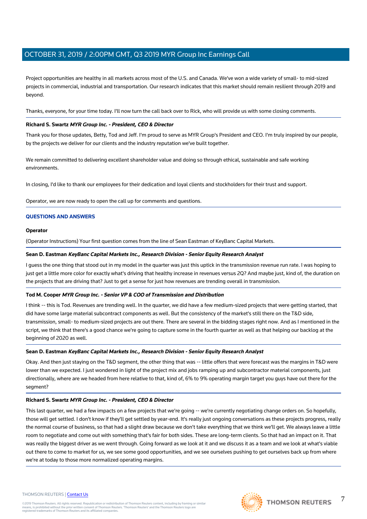Project opportunities are healthy in all markets across most of the U.S. and Canada. We've won a wide variety of small- to mid-sized projects in commercial, industrial and transportation. Our research indicates that this market should remain resilient through 2019 and beyond.

Thanks, everyone, for your time today. I'll now turn the call back over to Rick, who will provide us with some closing comments.

#### **Richard S. Swartz MYR Group Inc. - President, CEO & Director**

Thank you for those updates, Betty, Tod and Jeff. I'm proud to serve as MYR Group's President and CEO. I'm truly inspired by our people, by the projects we deliver for our clients and the industry reputation we've built together.

We remain committed to delivering excellent shareholder value and doing so through ethical, sustainable and safe working environments.

In closing, I'd like to thank our employees for their dedication and loyal clients and stockholders for their trust and support.

Operator, we are now ready to open the call up for comments and questions.

#### **QUESTIONS AND ANSWERS**

#### **Operator**

(Operator Instructions) Your first question comes from the line of Sean Eastman of KeyBanc Capital Markets.

#### **Sean D. Eastman KeyBanc Capital Markets Inc., Research Division - Senior Equity Research Analyst**

I guess the one thing that stood out in my model in the quarter was just this uptick in the transmission revenue run rate. I was hoping to just get a little more color for exactly what's driving that healthy increase in revenues versus 2Q? And maybe just, kind of, the duration on the projects that are driving that? Just to get a sense for just how revenues are trending overall in transmission.

#### **Tod M. Cooper MYR Group Inc. - Senior VP & COO of Transmission and Distribution**

I think -- this is Tod. Revenues are trending well. In the quarter, we did have a few medium-sized projects that were getting started, that did have some large material subcontract components as well. But the consistency of the market's still there on the T&D side, transmission, small- to medium-sized projects are out there. There are several in the bidding stages right now. And as I mentioned in the script, we think that there's a good chance we're going to capture some in the fourth quarter as well as that helping our backlog at the beginning of 2020 as well.

#### **Sean D. Eastman KeyBanc Capital Markets Inc., Research Division - Senior Equity Research Analyst**

Okay. And then just staying on the T&D segment, the other thing that was -- little offers that were forecast was the margins in T&D were lower than we expected. I just wondered in light of the project mix and jobs ramping up and subcontractor material components, just directionally, where are we headed from here relative to that, kind of, 6% to 9% operating margin target you guys have out there for the segment?

#### **Richard S. Swartz MYR Group Inc. - President, CEO & Director**

This last quarter, we had a few impacts on a few projects that we're going -- we're currently negotiating change orders on. So hopefully, those will get settled. I don't know if they'll get settled by year-end. It's really just ongoing conversations as these projects progress, really the normal course of business, so that had a slight draw because we don't take everything that we think we'll get. We always leave a little room to negotiate and come out with something that's fair for both sides. These are long-term clients. So that had an impact on it. That was really the biggest driver as we went through. Going forward as we look at it and we discuss it as a team and we look at what's viable out there to come to market for us, we see some good opportunities, and we see ourselves pushing to get ourselves back up from where we're at today to those more normalized operating margins.

#### THOMSON REUTERS | [Contact Us](https://my.thomsonreuters.com/ContactUsNew)

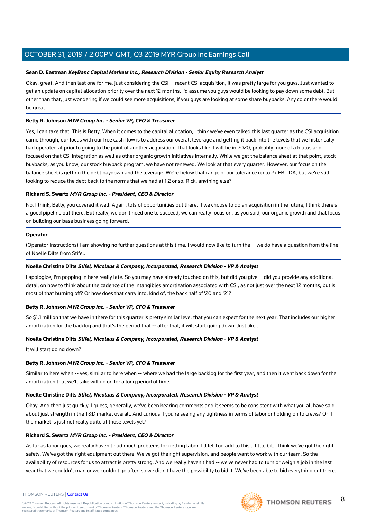#### **Sean D. Eastman KeyBanc Capital Markets Inc., Research Division - Senior Equity Research Analyst**

Okay, great. And then last one for me, just considering the CSI -- recent CSI acquisition, it was pretty large for you guys. Just wanted to get an update on capital allocation priority over the next 12 months. I'd assume you guys would be looking to pay down some debt. But other than that, just wondering if we could see more acquisitions, if you guys are looking at some share buybacks. Any color there would be great.

#### **Betty R. Johnson MYR Group Inc. - Senior VP, CFO & Treasurer**

Yes, I can take that. This is Betty. When it comes to the capital allocation, I think we've even talked this last quarter as the CSI acquisition came through, our focus with our free cash flow is to address our overall leverage and getting it back into the levels that we historically had operated at prior to going to the point of another acquisition. That looks like it will be in 2020, probably more of a hiatus and focused on that CSI integration as well as other organic growth initiatives internally. While we get the balance sheet at that point, stock buybacks, as you know, our stock buyback program, we have not renewed. We look at that every quarter. However, our focus on the balance sheet is getting the debt paydown and the leverage. We're below that range of our tolerance up to 2x EBITDA, but we're still looking to reduce the debt back to the norms that we had at 1.2 or so. Rick, anything else?

#### **Richard S. Swartz MYR Group Inc. - President, CEO & Director**

No, I think, Betty, you covered it well. Again, lots of opportunities out there. If we choose to do an acquisition in the future, I think there's a good pipeline out there. But really, we don't need one to succeed, we can really focus on, as you said, our organic growth and that focus on building our base business going forward.

#### **Operator**

(Operator Instructions) I am showing no further questions at this time. I would now like to turn the -- we do have a question from the line of Noelle Dilts from Stifel.

#### **Noelle Christine Dilts Stifel, Nicolaus & Company, Incorporated, Research Division - VP & Analyst**

I apologize, I'm popping in here really late. So you may have already touched on this, but did you give -- did you provide any additional detail on how to think about the cadence of the intangibles amortization associated with CSI, as not just over the next 12 months, but is most of that burning off? Or how does that carry into, kind of, the back half of '20 and '21?

#### **Betty R. Johnson MYR Group Inc. - Senior VP, CFO & Treasurer**

So \$1.1 million that we have in there for this quarter is pretty similar level that you can expect for the next year. That includes our higher amortization for the backlog and that's the period that -- after that, it will start going down. Just like...

#### **Noelle Christine Dilts Stifel, Nicolaus & Company, Incorporated, Research Division - VP & Analyst**

It will start going down?

### **Betty R. Johnson MYR Group Inc. - Senior VP, CFO & Treasurer**

Similar to here when -- yes, similar to here when -- where we had the large backlog for the first year, and then it went back down for the amortization that we'll take will go on for a long period of time.

#### **Noelle Christine Dilts Stifel, Nicolaus & Company, Incorporated, Research Division - VP & Analyst**

Okay. And then just quickly, I guess, generally, we've been hearing comments and it seems to be consistent with what you all have said about just strength in the T&D market overall. And curious if you're seeing any tightness in terms of labor or holding on to crews? Or if the market is just not really quite at those levels yet?

#### **Richard S. Swartz MYR Group Inc. - President, CEO & Director**

As far as labor goes, we really haven't had much problems for getting labor. I'll let Tod add to this a little bit. I think we've got the right safety. We've got the right equipment out there. We've got the right supervision, and people want to work with our team. So the availability of resources for us to attract is pretty strong. And we really haven't had -- we've never had to turn or weigh a job in the last year that we couldn't man or we couldn't go after, so we didn't have the possibility to bid it. We've been able to bid everything out there.



8

#### THOMSON REUTERS | [Contact Us](https://my.thomsonreuters.com/ContactUsNew)

©2019 Thomson Reuters. All rights reserved. Republication or redistribution of Thomson Reuters content, including by framing or similar<br>means, is prohibited without the prior written consent of Thomson Reuters. "Thomson Re